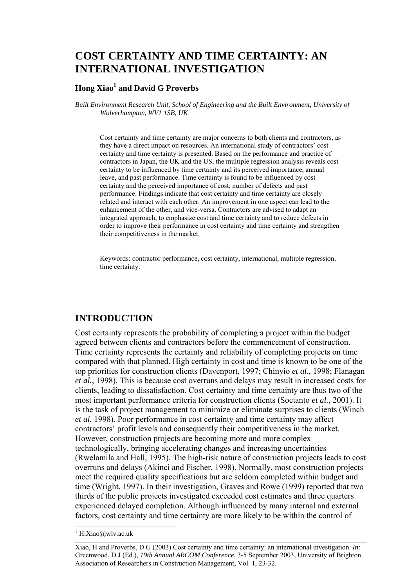# **COST CERTAINTY AND TIME CERTAINTY: AN INTERNATIONAL INVESTIGATION**

### **Hong Xiao<sup>1</sup> and David G Proverbs**

*Built Environment Research Unit, School of Engineering and the Built Environment, University of Wolverhampton, WV1 1SB, UK* 

Cost certainty and time certainty are major concerns to both clients and contractors, as they have a direct impact on resources. An international study of contractors' cost certainty and time certainty is presented. Based on the performance and practice of contractors in Japan, the UK and the US, the multiple regression analysis reveals cost certainty to be influenced by time certainty and its perceived importance, annual leave, and past performance. Time certainty is found to be influenced by cost certainty and the perceived importance of cost, number of defects and past performance. Findings indicate that cost certainty and time certainty are closely related and interact with each other. An improvement in one aspect can lead to the enhancement of the other, and vice-versa. Contractors are advised to adapt an integrated approach, to emphasize cost and time certainty and to reduce defects in order to improve their performance in cost certainty and time certainty and strengthen their competitiveness in the market.

Keywords: contractor performance, cost certainty, international, multiple regression, time certainty.

## **INTRODUCTION**

Cost certainty represents the probability of completing a project within the budget agreed between clients and contractors before the commencement of construction. Time certainty represents the certainty and reliability of completing projects on time compared with that planned. High certainty in cost and time is known to be one of the top priorities for construction clients (Davenport, 1997; Chinyio *et al.*, 1998; Flanagan *et al.*, 1998). This is because cost overruns and delays may result in increased costs for clients, leading to dissatisfaction. Cost certainty and time certainty are thus two of the most important performance criteria for construction clients (Soetanto *et al.*, 2001). It is the task of project management to minimize or eliminate surprises to clients (Winch *et al.* 1998). Poor performance in cost certainty and time certainty may affect contractors' profit levels and consequently their competitiveness in the market. However, construction projects are becoming more and more complex technologically, bringing accelerating changes and increasing uncertainties (Rwelamila and Hall, 1995). The high-risk nature of construction projects leads to cost overruns and delays (Akinci and Fischer, 1998). Normally, most construction projects meet the required quality specifications but are seldom completed within budget and time (Wright, 1997). In their investigation, Graves and Rowe (1999) reported that two thirds of the public projects investigated exceeded cost estimates and three quarters experienced delayed completion. Although influenced by many internal and external factors, cost certainty and time certainty are more likely to be within the control of

l

 $1$  H.Xiao@wlv.ac.uk

Xiao, H and Proverbs, D G (2003) Cost certainty and time certainty: an international investigation. *In:* Greenwood, D J (Ed.), *19th Annual ARCOM Conference*, 3-5 September 2003, University of Brighton. Association of Researchers in Construction Management, Vol. 1, 23-32.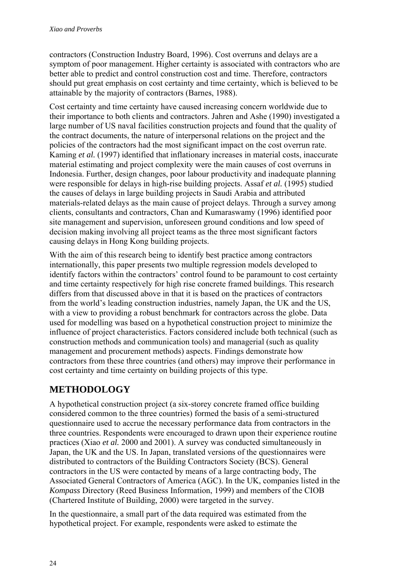contractors (Construction Industry Board, 1996). Cost overruns and delays are a symptom of poor management. Higher certainty is associated with contractors who are better able to predict and control construction cost and time. Therefore, contractors should put great emphasis on cost certainty and time certainty, which is believed to be attainable by the majority of contractors (Barnes, 1988).

Cost certainty and time certainty have caused increasing concern worldwide due to their importance to both clients and contractors. Jahren and Ashe (1990) investigated a large number of US naval facilities construction projects and found that the quality of the contract documents, the nature of interpersonal relations on the project and the policies of the contractors had the most significant impact on the cost overrun rate. Kaming *et al.* (1997) identified that inflationary increases in material costs, inaccurate material estimating and project complexity were the main causes of cost overruns in Indonesia. Further, design changes, poor labour productivity and inadequate planning were responsible for delays in high-rise building projects. Assaf *et al.* (1995) studied the causes of delays in large building projects in Saudi Arabia and attributed materials-related delays as the main cause of project delays. Through a survey among clients, consultants and contractors, Chan and Kumaraswamy (1996) identified poor site management and supervision, unforeseen ground conditions and low speed of decision making involving all project teams as the three most significant factors causing delays in Hong Kong building projects.

With the aim of this research being to identify best practice among contractors internationally, this paper presents two multiple regression models developed to identify factors within the contractors' control found to be paramount to cost certainty and time certainty respectively for high rise concrete framed buildings. This research differs from that discussed above in that it is based on the practices of contractors from the world's leading construction industries, namely Japan, the UK and the US, with a view to providing a robust benchmark for contractors across the globe. Data used for modelling was based on a hypothetical construction project to minimize the influence of project characteristics. Factors considered include both technical (such as construction methods and communication tools) and managerial (such as quality management and procurement methods) aspects. Findings demonstrate how contractors from these three countries (and others) may improve their performance in cost certainty and time certainty on building projects of this type.

# **METHODOLOGY**

A hypothetical construction project (a six-storey concrete framed office building considered common to the three countries) formed the basis of a semi-structured questionnaire used to accrue the necessary performance data from contractors in the three countries. Respondents were encouraged to drawn upon their experience routine practices (Xiao *et al.* 2000 and 2001). A survey was conducted simultaneously in Japan, the UK and the US. In Japan, translated versions of the questionnaires were distributed to contractors of the Building Contractors Society (BCS). General contractors in the US were contacted by means of a large contracting body, The Associated General Contractors of America (AGC). In the UK, companies listed in the *Kompass* Directory (Reed Business Information, 1999) and members of the CIOB (Chartered Institute of Building, 2000) were targeted in the survey.

In the questionnaire, a small part of the data required was estimated from the hypothetical project. For example, respondents were asked to estimate the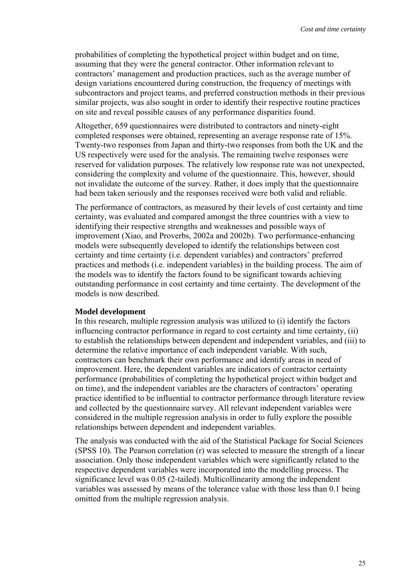probabilities of completing the hypothetical project within budget and on time, assuming that they were the general contractor. Other information relevant to contractors' management and production practices, such as the average number of design variations encountered during construction, the frequency of meetings with subcontractors and project teams, and preferred construction methods in their previous similar projects, was also sought in order to identify their respective routine practices on site and reveal possible causes of any performance disparities found.

Altogether, 659 questionnaires were distributed to contractors and ninety-eight completed responses were obtained, representing an average response rate of 15%. Twenty-two responses from Japan and thirty-two responses from both the UK and the US respectively were used for the analysis. The remaining twelve responses were reserved for validation purposes. The relatively low response rate was not unexpected, considering the complexity and volume of the questionnaire. This, however, should not invalidate the outcome of the survey. Rather, it does imply that the questionnaire had been taken seriously and the responses received were both valid and reliable.

The performance of contractors, as measured by their levels of cost certainty and time certainty, was evaluated and compared amongst the three countries with a view to identifying their respective strengths and weaknesses and possible ways of improvement (Xiao, and Proverbs, 2002a and 2002b). Two performance-enhancing models were subsequently developed to identify the relationships between cost certainty and time certainty (i.e. dependent variables) and contractors' preferred practices and methods (i.e. independent variables) in the building process. The aim of the models was to identify the factors found to be significant towards achieving outstanding performance in cost certainty and time certainty. The development of the models is now described.

#### **Model development**

In this research, multiple regression analysis was utilized to (i) identify the factors influencing contractor performance in regard to cost certainty and time certainty, (ii) to establish the relationships between dependent and independent variables, and (iii) to determine the relative importance of each independent variable. With such, contractors can benchmark their own performance and identify areas in need of improvement. Here, the dependent variables are indicators of contractor certainty performance (probabilities of completing the hypothetical project within budget and on time), and the independent variables are the characters of contractors' operating practice identified to be influential to contractor performance through literature review and collected by the questionnaire survey. All relevant independent variables were considered in the multiple regression analysis in order to fully explore the possible relationships between dependent and independent variables.

The analysis was conducted with the aid of the Statistical Package for Social Sciences (SPSS 10). The Pearson correlation (r) was selected to measure the strength of a linear association. Only those independent variables which were significantly related to the respective dependent variables were incorporated into the modelling process. The significance level was 0.05 (2-tailed). Multicollinearity among the independent variables was assessed by means of the tolerance value with those less than 0.1 being omitted from the multiple regression analysis.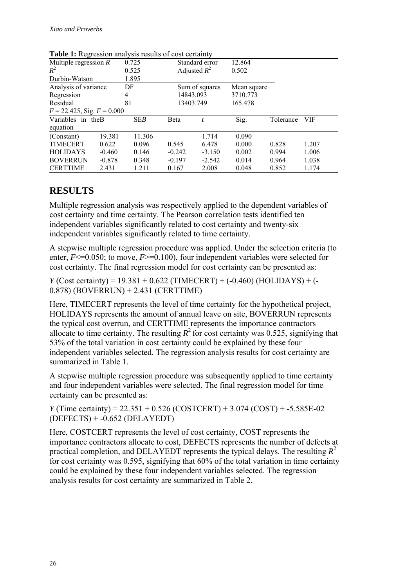| <b>THOICE.</b> It is the second that you results of cost certainly |          |            |                |          |             |           |       |  |
|--------------------------------------------------------------------|----------|------------|----------------|----------|-------------|-----------|-------|--|
| Multiple regression $R$                                            |          | 0.725      | Standard error |          | 12.864      |           |       |  |
| $R^2$                                                              |          | 0.525      | Adjusted $R^2$ |          | 0.502       |           |       |  |
| Durbin-Watson                                                      |          | 1.895      |                |          |             |           |       |  |
| Analysis of variance                                               |          | DF         | Sum of squares |          | Mean square |           |       |  |
| Regression                                                         |          | 4          | 14843.093      |          | 3710.773    |           |       |  |
| Residual                                                           |          | 81         | 13403.749      |          | 165.478     |           |       |  |
| $F = 22.425$ , Sig. $F = 0.000$                                    |          |            |                |          |             |           |       |  |
| Variables in the B                                                 |          | <b>SEB</b> | <b>B</b> eta   | t        | Sig.        | Tolerance | VIF   |  |
| equation                                                           |          |            |                |          |             |           |       |  |
| (Constant)                                                         | 19.381   | 11.306     |                | 1.714    | 0.090       |           |       |  |
| <b>TIMECERT</b>                                                    | 0.622    | 0.096      | 0.545          | 6.478    | 0.000       | 0.828     | 1.207 |  |
| <b>HOLIDAYS</b>                                                    | $-0.460$ | 0.146      | $-0.242$       | $-3.150$ | 0.002       | 0.994     | 1.006 |  |
| <b>BOVERRUN</b>                                                    | $-0.878$ | 0.348      | $-0.197$       | $-2.542$ | 0.014       | 0.964     | 1.038 |  |
| <b>CERTTIME</b>                                                    | 2.431    | 1.211      | 0.167          | 2.008    | 0.048       | 0.852     | 1.174 |  |

Table 1: Regression analysis results of cost certainty

## **RESULTS**

Multiple regression analysis was respectively applied to the dependent variables of cost certainty and time certainty. The Pearson correlation tests identified ten independent variables significantly related to cost certainty and twenty-six independent variables significantly related to time certainty.

A stepwise multiple regression procedure was applied. Under the selection criteria (to enter,  $F \le 0.050$ ; to move,  $F \ge 0.100$ ), four independent variables were selected for cost certainty. The final regression model for cost certainty can be presented as:

*Y* (Cost certainty) = 19.381 + 0.622 (TIMECERT) + (-0.460) (HOLIDAYS) + (-0.878) (BOVERRUN) + 2.431 (CERTTIME)

Here, TIMECERT represents the level of time certainty for the hypothetical project, HOLIDAYS represents the amount of annual leave on site, BOVERRUN represents the typical cost overrun, and CERTTIME represents the importance contractors allocate to time certainty. The resulting  $R^2$  for cost certainty was 0.525, signifying that 53% of the total variation in cost certainty could be explained by these four independent variables selected. The regression analysis results for cost certainty are summarized in Table 1.

A stepwise multiple regression procedure was subsequently applied to time certainty and four independent variables were selected. The final regression model for time certainty can be presented as:

*Y* (Time certainty) = 22.351 + 0.526 (COSTCERT) + 3.074 (COST) + -5.585E-02 (DEFECTS) + -0.652 (DELAYEDT)

Here, COSTCERT represents the level of cost certainty, COST represents the importance contractors allocate to cost, DEFECTS represents the number of defects at practical completion, and DELAYEDT represents the typical delays. The resulting  $R^2$ for cost certainty was 0.595, signifying that 60% of the total variation in time certainty could be explained by these four independent variables selected. The regression analysis results for cost certainty are summarized in Table 2.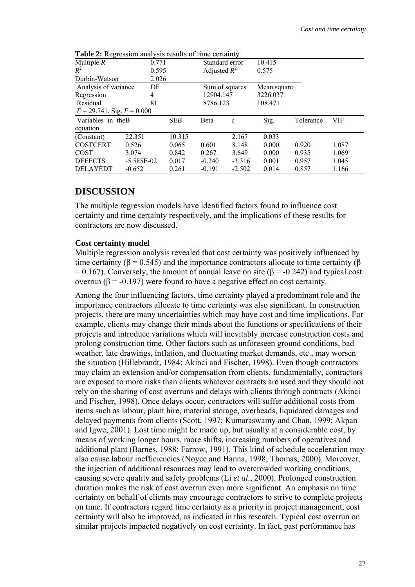| <b>Lable 2.</b> Regression analysis results of three certainty |              |            |                |          |             |           |       |
|----------------------------------------------------------------|--------------|------------|----------------|----------|-------------|-----------|-------|
| Multiple $R$                                                   |              | 0.771      | Standard error |          | 10.415      |           |       |
| $R^2$                                                          | 0.595        |            | Adjusted $R^2$ |          | 0.575       |           |       |
| Durbin-Watson                                                  |              | 2.026      |                |          |             |           |       |
| Analysis of variance                                           | DF           |            | Sum of squares |          | Mean square |           |       |
| Regression                                                     | 4            |            | 12904.147      |          | 3226.037    |           |       |
| 81<br>Residual                                                 |              |            | 8786.123       |          | 108.471     |           |       |
| $F = 29.741$ , Sig. $F = 0.000$                                |              |            |                |          |             |           |       |
| Variables in theB                                              |              | <b>SEB</b> | Beta           | t        | Sig.        | Tolerance | VIF   |
| equation                                                       |              |            |                |          |             |           |       |
| (Constant)                                                     | 22.351       | 10.315     |                | 2.167    | 0.033       |           |       |
| <b>COSTCERT</b>                                                | 0.526        | 0.065      | 0.601          | 8.148    | 0.000       | 0.920     | 1.087 |
| <b>COST</b>                                                    | 3.074        | 0.842      | 0.267          | 3.649    | 0.000       | 0.935     | 1.069 |
| <b>DEFECTS</b>                                                 | $-5.585E-02$ | 0.017      | $-0.240$       | $-3.316$ | 0.001       | 0.957     | 1.045 |
| <b>DELAYEDT</b>                                                | $-0.652$     | 0.261      | $-0.191$       | $-2.502$ | 0.014       | 0.857     | 1.166 |

**Table 2:** Regression analysis results of time certainty

## **DISCUSSION**

The multiple regression models have identified factors found to influence cost certainty and time certainty respectively, and the implications of these results for contractors are now discussed.

#### **Cost certainty model**

Multiple regression analysis revealed that cost certainty was positively influenced by time certainty ( $\beta$  = 0.545) and the importance contractors allocate to time certainty ( $\beta$ = 0.167). Conversely, the amount of annual leave on site ( $\beta$  = -0.242) and typical cost overrun (β = -0.197) were found to have a negative effect on cost certainty.

Among the four influencing factors, time certainty played a predominant role and the importance contractors allocate to time certainty was also significant. In construction projects, there are many uncertainties which may have cost and time implications. For example, clients may change their minds about the functions or specifications of their projects and introduce variations which will inevitably increase construction costs and prolong construction time. Other factors such as unforeseen ground conditions, bad weather, late drawings, inflation, and fluctuating market demands, etc., may worsen the situation (Hillebrandt, 1984; Akinci and Fischer, 1998). Even though contractors may claim an extension and/or compensation from clients, fundamentally, contractors are exposed to more risks than clients whatever contracts are used and they should not rely on the sharing of cost overruns and delays with clients through contracts (Akinci and Fischer, 1998). Once delays occur, contractors will suffer additional costs from items such as labour, plant hire, material storage, overheads, liquidated damages and delayed payments from clients (Scott, 1997; Kumaraswamy and Chan, 1999; Akpan and Igwe, 2001). Lost time might be made up, but usually at a considerable cost, by means of working longer hours, more shifts, increasing numbers of operatives and additional plant (Barnes, 1988; Farrow, 1991). This kind of schedule acceleration may also cause labour inefficiencies (Noyce and Hanna, 1998; Thomas, 2000). Moreover, the injection of additional resources may lead to overcrowded working conditions, causing severe quality and safety problems (Li *et al.*, 2000). Prolonged construction duration makes the risk of cost overrun even more significant. An emphasis on time certainty on behalf of clients may encourage contractors to strive to complete projects on time. If contractors regard time certainty as a priority in project management, cost certainty will also be improved, as indicated in this research. Typical cost overrun on similar projects impacted negatively on cost certainty. In fact, past performance has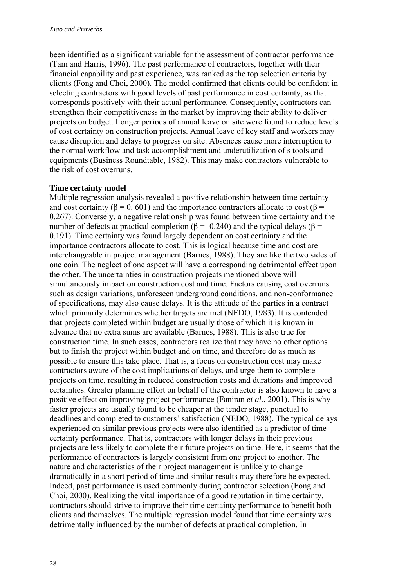been identified as a significant variable for the assessment of contractor performance (Tam and Harris, 1996). The past performance of contractors, together with their financial capability and past experience, was ranked as the top selection criteria by clients (Fong and Choi, 2000). The model confirmed that clients could be confident in selecting contractors with good levels of past performance in cost certainty, as that corresponds positively with their actual performance. Consequently, contractors can strengthen their competitiveness in the market by improving their ability to deliver projects on budget. Longer periods of annual leave on site were found to reduce levels of cost certainty on construction projects. Annual leave of key staff and workers may cause disruption and delays to progress on site. Absences cause more interruption to the normal workflow and task accomplishment and underutilization of s tools and equipments (Business Roundtable, 1982). This may make contractors vulnerable to the risk of cost overruns.

#### **Time certainty model**

Multiple regression analysis revealed a positive relationship between time certainty and cost certainty ( $\beta = 0.601$ ) and the importance contractors allocate to cost ( $\beta =$ 0.267). Conversely, a negative relationship was found between time certainty and the number of defects at practical completion (β = -0.240) and the typical delays (β = -0.191). Time certainty was found largely dependent on cost certainty and the importance contractors allocate to cost. This is logical because time and cost are interchangeable in project management (Barnes, 1988). They are like the two sides of one coin. The neglect of one aspect will have a corresponding detrimental effect upon the other. The uncertainties in construction projects mentioned above will simultaneously impact on construction cost and time. Factors causing cost overruns such as design variations, unforeseen underground conditions, and non-conformance of specifications, may also cause delays. It is the attitude of the parties in a contract which primarily determines whether targets are met (NEDO, 1983). It is contended that projects completed within budget are usually those of which it is known in advance that no extra sums are available (Barnes, 1988). This is also true for construction time. In such cases, contractors realize that they have no other options but to finish the project within budget and on time, and therefore do as much as possible to ensure this take place. That is, a focus on construction cost may make contractors aware of the cost implications of delays, and urge them to complete projects on time, resulting in reduced construction costs and durations and improved certainties. Greater planning effort on behalf of the contractor is also known to have a positive effect on improving project performance (Faniran *et al.*, 2001). This is why faster projects are usually found to be cheaper at the tender stage, punctual to deadlines and completed to customers' satisfaction (NEDO, 1988). The typical delays experienced on similar previous projects were also identified as a predictor of time certainty performance. That is, contractors with longer delays in their previous projects are less likely to complete their future projects on time. Here, it seems that the performance of contractors is largely consistent from one project to another. The nature and characteristics of their project management is unlikely to change dramatically in a short period of time and similar results may therefore be expected. Indeed, past performance is used commonly during contractor selection (Fong and Choi, 2000). Realizing the vital importance of a good reputation in time certainty, contractors should strive to improve their time certainty performance to benefit both clients and themselves. The multiple regression model found that time certainty was detrimentally influenced by the number of defects at practical completion. In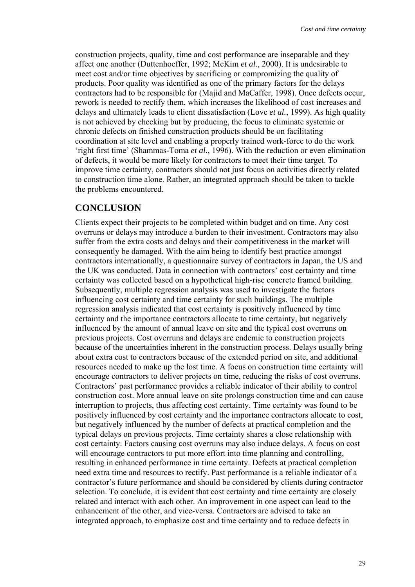construction projects, quality, time and cost performance are inseparable and they affect one another (Duttenhoeffer, 1992; McKim *et al.*, 2000). It is undesirable to meet cost and/or time objectives by sacrificing or compromizing the quality of products. Poor quality was identified as one of the primary factors for the delays contractors had to be responsible for (Majid and MaCaffer, 1998). Once defects occur, rework is needed to rectify them, which increases the likelihood of cost increases and delays and ultimately leads to client dissatisfaction (Love *et al.*, 1999). As high quality is not achieved by checking but by producing, the focus to eliminate systemic or chronic defects on finished construction products should be on facilitating coordination at site level and enabling a properly trained work-force to do the work 'right first time' (Shammas-Toma *et al.*, 1996). With the reduction or even elimination of defects, it would be more likely for contractors to meet their time target. To improve time certainty, contractors should not just focus on activities directly related to construction time alone. Rather, an integrated approach should be taken to tackle the problems encountered.

## **CONCLUSION**

Clients expect their projects to be completed within budget and on time. Any cost overruns or delays may introduce a burden to their investment. Contractors may also suffer from the extra costs and delays and their competitiveness in the market will consequently be damaged. With the aim being to identify best practice amongst contractors internationally, a questionnaire survey of contractors in Japan, the US and the UK was conducted. Data in connection with contractors' cost certainty and time certainty was collected based on a hypothetical high-rise concrete framed building. Subsequently, multiple regression analysis was used to investigate the factors influencing cost certainty and time certainty for such buildings. The multiple regression analysis indicated that cost certainty is positively influenced by time certainty and the importance contractors allocate to time certainty, but negatively influenced by the amount of annual leave on site and the typical cost overruns on previous projects. Cost overruns and delays are endemic to construction projects because of the uncertainties inherent in the construction process. Delays usually bring about extra cost to contractors because of the extended period on site, and additional resources needed to make up the lost time. A focus on construction time certainty will encourage contractors to deliver projects on time, reducing the risks of cost overruns. Contractors' past performance provides a reliable indicator of their ability to control construction cost. More annual leave on site prolongs construction time and can cause interruption to projects, thus affecting cost certainty. Time certainty was found to be positively influenced by cost certainty and the importance contractors allocate to cost, but negatively influenced by the number of defects at practical completion and the typical delays on previous projects. Time certainty shares a close relationship with cost certainty. Factors causing cost overruns may also induce delays. A focus on cost will encourage contractors to put more effort into time planning and controlling, resulting in enhanced performance in time certainty. Defects at practical completion need extra time and resources to rectify. Past performance is a reliable indicator of a contractor's future performance and should be considered by clients during contractor selection. To conclude, it is evident that cost certainty and time certainty are closely related and interact with each other. An improvement in one aspect can lead to the enhancement of the other, and vice-versa. Contractors are advised to take an integrated approach, to emphasize cost and time certainty and to reduce defects in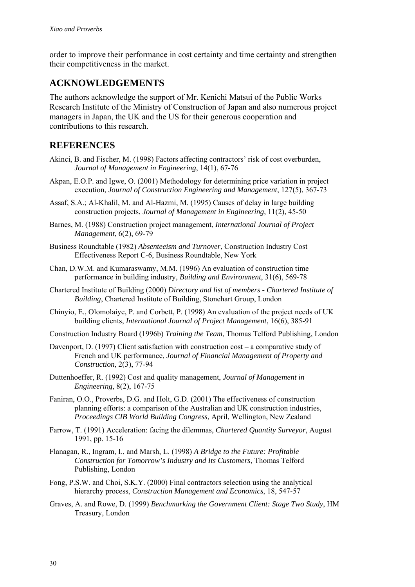order to improve their performance in cost certainty and time certainty and strengthen their competitiveness in the market.

## **ACKNOWLEDGEMENTS**

The authors acknowledge the support of Mr. Kenichi Matsui of the Public Works Research Institute of the Ministry of Construction of Japan and also numerous project managers in Japan, the UK and the US for their generous cooperation and contributions to this research.

## **REFERENCES**

- Akinci, B. and Fischer, M. (1998) Factors affecting contractors' risk of cost overburden, *Journal of Management in Engineering*, 14(1), 67-76
- Akpan, E.O.P. and Igwe, O. (2001) Methodology for determining price variation in project execution, *Journal of Construction Engineering and Management*, 127(5), 367-73
- Assaf, S.A.; Al-Khalil, M. and Al-Hazmi, M. (1995) Causes of delay in large building construction projects, *Journal of Management in Engineering*, 11(2), 45-50
- Barnes, M. (1988) Construction project management, *International Journal of Project Management*, 6(2), 69-79
- Business Roundtable (1982) *Absenteeism and Turnover*, Construction Industry Cost Effectiveness Report C-6, Business Roundtable, New York
- Chan, D.W.M. and Kumaraswamy, M.M. (1996) An evaluation of construction time performance in building industry, *Building and Environment*, 31(6), 569-78
- Chartered Institute of Building (2000) *Directory and list of members Chartered Institute of Building*, Chartered Institute of Building, Stonehart Group, London
- Chinyio, E., Olomolaiye, P. and Corbett, P. (1998) An evaluation of the project needs of UK building clients, *International Journal of Project Management*, 16(6), 385-91
- Construction Industry Board (1996b) *Training the Team*, Thomas Telford Publishing, London
- Davenport, D. (1997) Client satisfaction with construction cost a comparative study of French and UK performance, *Journal of Financial Management of Property and Construction*, 2(3), 77-94
- Duttenhoeffer, R. (1992) Cost and quality management, *Journal of Management in Engineering*, 8(2), 167-75
- Faniran, O.O., Proverbs, D.G. and Holt, G.D. (2001) The effectiveness of construction planning efforts: a comparison of the Australian and UK construction industries, *Proceedings CIB World Building Congress*, April, Wellington, New Zealand
- Farrow, T. (1991) Acceleration: facing the dilemmas, *Chartered Quantity Surveyor*, August 1991, pp. 15-16
- Flanagan, R., Ingram, I., and Marsh, L. (1998) *A Bridge to the Future: Profitable Construction for Tomorrow's Industry and Its Customers*, Thomas Telford Publishing, London
- Fong, P.S.W. and Choi, S.K.Y. (2000) Final contractors selection using the analytical hierarchy process, *Construction Management and Economics*, 18, 547-57
- Graves, A. and Rowe, D. (1999) *Benchmarking the Government Client: Stage Two Study*, HM Treasury, London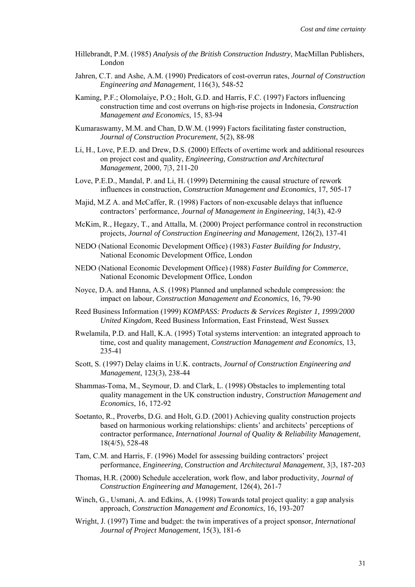- Hillebrandt, P.M. (1985) *Analysis of the British Construction Industry*, MacMillan Publishers, London
- Jahren, C.T. and Ashe, A.M. (1990) Predicators of cost-overrun rates, *Journal of Construction Engineering and Management*, 116(3), 548-52
- Kaming, P.F.; Olomolaiye, P.O.; Holt, G.D. and Harris, F.C. (1997) Factors influencing construction time and cost overruns on high-rise projects in Indonesia, *Construction Management and Economics*, 15, 83-94
- Kumaraswamy, M.M. and Chan, D.W.M. (1999) Factors facilitating faster construction, *Journal of Construction Procurement*, 5(2), 88-98
- Li, H., Love, P.E.D. and Drew, D.S. (2000) Effects of overtime work and additional resources on project cost and quality, *Engineering, Construction and Architectural Management*, 2000, 7|3, 211-20
- Love, P.E.D., Mandal, P. and Li, H. (1999) Determining the causal structure of rework influences in construction, *Construction Management and Economics*, 17, 505-17
- Majid, M.Z A. and McCaffer, R. (1998) Factors of non-excusable delays that influence contractors' performance, *Journal of Management in Engineering*, 14(3), 42-9
- McKim, R., Hegazy, T., and Attalla, M. (2000) Project performance control in reconstruction projects, *Journal of Construction Engineering and Management*, 126(2), 137-41
- NEDO (National Economic Development Office) (1983) *Faster Building for Industry*, National Economic Development Office, London
- NEDO (National Economic Development Office) (1988) *Faster Building for Commerce*, National Economic Development Office, London
- Noyce, D.A. and Hanna, A.S. (1998) Planned and unplanned schedule compression: the impact on labour, *Construction Management and Economics*, 16, 79-90
- Reed Business Information (1999) *KOMPASS: Products & Services Register 1, 1999/2000 United Kingdom*, Reed Business Information, East Frinstead, West Sussex
- Rwelamila, P.D. and Hall, K.A. (1995) Total systems intervention: an integrated approach to time, cost and quality management, *Construction Management and Economics*, 13, 235-41
- Scott, S. (1997) Delay claims in U.K. contracts, *Journal of Construction Engineering and Management*, 123(3), 238-44
- Shammas-Toma, M., Seymour, D. and Clark, L. (1998) Obstacles to implementing total quality management in the UK construction industry, *Construction Management and Economics*, 16, 172-92
- Soetanto, R., Proverbs, D.G. and Holt, G.D. (2001) Achieving quality construction projects based on harmonious working relationships: clients' and architects' perceptions of contractor performance, *International Journal of Quality & Reliability Management*, 18(4/5), 528-48
- Tam, C.M. and Harris, F. (1996) Model for assessing building contractors' project performance, *Engineering, Construction and Architectural Management*, 3|3, 187-203
- Thomas, H.R. (2000) Schedule acceleration, work flow, and labor productivity, *Journal of Construction Engineering and Management*, 126(4), 261-7
- Winch, G., Usmani, A. and Edkins, A. (1998) Towards total project quality: a gap analysis approach, *Construction Management and Economics*, 16, 193-207
- Wright, J. (1997) Time and budget: the twin imperatives of a project sponsor, *International Journal of Project Management*, 15(3), 181-6